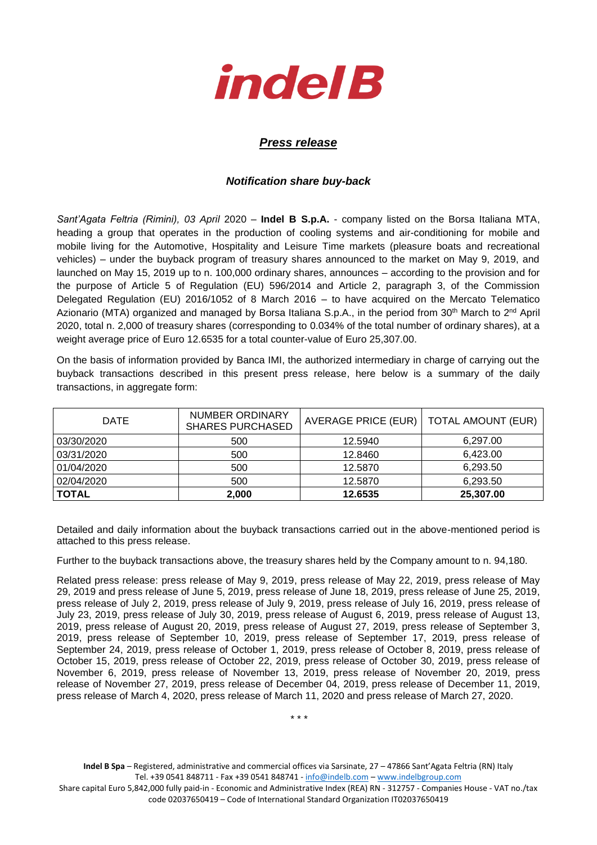

## *Press release*

## *Notification share buy-back*

*Sant'Agata Feltria (Rimini), 03 April* 2020 – **Indel B S.p.A.** - company listed on the Borsa Italiana MTA, heading a group that operates in the production of cooling systems and air-conditioning for mobile and mobile living for the Automotive, Hospitality and Leisure Time markets (pleasure boats and recreational vehicles) – under the buyback program of treasury shares announced to the market on May 9, 2019, and launched on May 15, 2019 up to n. 100,000 ordinary shares, announces – according to the provision and for the purpose of Article 5 of Regulation (EU) 596/2014 and Article 2, paragraph 3, of the Commission Delegated Regulation (EU) 2016/1052 of 8 March 2016 – to have acquired on the Mercato Telematico Azionario (MTA) organized and managed by Borsa Italiana S.p.A., in the period from 30<sup>th</sup> March to 2<sup>nd</sup> April 2020, total n. 2,000 of treasury shares (corresponding to 0.034% of the total number of ordinary shares), at a weight average price of Euro 12.6535 for a total counter-value of Euro 25,307.00.

On the basis of information provided by Banca IMI, the authorized intermediary in charge of carrying out the buyback transactions described in this present press release, here below is a summary of the daily transactions, in aggregate form:

| <b>DATE</b>  | NUMBER ORDINARY<br><b>SHARES PURCHASED</b> | AVERAGE PRICE (EUR) | <b>TOTAL AMOUNT (EUR)</b> |  |
|--------------|--------------------------------------------|---------------------|---------------------------|--|
| 03/30/2020   | 500                                        | 12.5940             | 6,297.00                  |  |
| 03/31/2020   | 500                                        | 12.8460             | 6,423.00                  |  |
| 01/04/2020   | 500                                        | 12.5870             | 6,293.50                  |  |
| 02/04/2020   | 500                                        | 12.5870             | 6,293.50                  |  |
| <b>TOTAL</b> | 2,000                                      | 12.6535             | 25,307.00                 |  |

Detailed and daily information about the buyback transactions carried out in the above-mentioned period is attached to this press release.

Further to the buyback transactions above, the treasury shares held by the Company amount to n. 94,180.

Related press release: press release of May 9, 2019, press release of May 22, 2019, press release of May 29, 2019 and press release of June 5, 2019, press release of June 18, 2019, press release of June 25, 2019, press release of July 2, 2019, press release of July 9, 2019, press release of July 16, 2019, press release of July 23, 2019, press release of July 30, 2019, press release of August 6, 2019, press release of August 13, 2019, press release of August 20, 2019, press release of August 27, 2019, press release of September 3, 2019, press release of September 10, 2019, press release of September 17, 2019, press release of September 24, 2019, press release of October 1, 2019, press release of October 8, 2019, press release of October 15, 2019, press release of October 22, 2019, press release of October 30, 2019, press release of November 6, 2019, press release of November 13, 2019, press release of November 20, 2019, press release of November 27, 2019, press release of December 04, 2019, press release of December 11, 2019, press release of March 4, 2020, press release of March 11, 2020 and press release of March 27, 2020.

\* \* \*

**Indel B Spa** – Registered, administrative and commercial offices via Sarsinate, 27 – 47866 Sant'Agata Feltria (RN) Italy Tel. +39 0541 848711 - Fax +39 0541 848741 - [info@indelb.com](mailto:info@indelb.com) – [www.indelbgroup.com](http://www.indelbgroup.com/)

Share capital Euro 5,842,000 fully paid-in - Economic and Administrative Index (REA) RN - 312757 - Companies House - VAT no./tax code 02037650419 – Code of International Standard Organization IT02037650419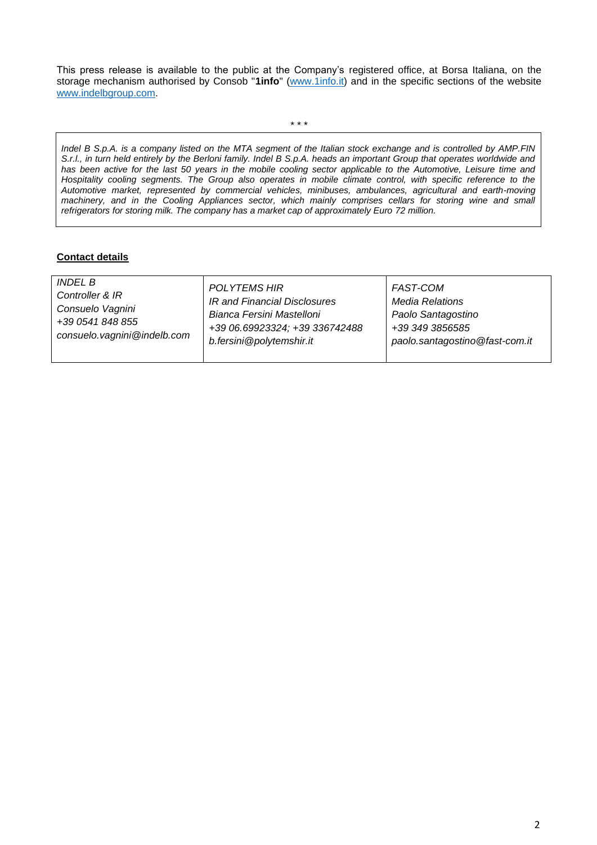This press release is available to the public at the Company's registered office, at Borsa Italiana, on the storage mechanism authorised by Consob "**1info**" [\(www.1info.it\)](file:///C:/Users/ddelietovollaro/AppData/Local/Microsoft/Windows/INetCache/Content.Outlook/T87B94UR/www.1info.it) and in the specific sections of the website [www.indelbgroup.com.](http://www.indelbgroup.com/)

\* \* \*

*Indel B S.p.A. is a company listed on the MTA segment of the Italian stock exchange and is controlled by AMP.FIN S.r.l., in turn held entirely by the Berloni family. Indel B S.p.A. heads an important Group that operates worldwide and*  has been active for the last 50 years in the mobile cooling sector applicable to the Automotive, Leisure time and *Hospitality cooling segments. The Group also operates in mobile climate control, with specific reference to the Automotive market, represented by commercial vehicles, minibuses, ambulances, agricultural and earth-moving machinery, and in the Cooling Appliances sector, which mainly comprises cellars for storing wine and small refrigerators for storing milk. The company has a market cap of approximately Euro 72 million.* 

## **Contact details**

| <i>INDEL B</i><br><b>POLYTEMS HIR</b><br><b>FAST-COM</b><br>Controller & IR<br>IR and Financial Disclosures<br><b>Media Relations</b><br>Consuelo Vagnini<br>Bianca Fersini Mastelloni<br>Paolo Santagostino<br>+39 0541 848 855<br>+39 06.69923324; +39 336742488<br>+39 349 3856585<br>consuelo.vagnini@indelb.com<br>b.fersini@polytemshir.it<br>paolo.santagostino@fast-com.it |  |
|------------------------------------------------------------------------------------------------------------------------------------------------------------------------------------------------------------------------------------------------------------------------------------------------------------------------------------------------------------------------------------|--|
|------------------------------------------------------------------------------------------------------------------------------------------------------------------------------------------------------------------------------------------------------------------------------------------------------------------------------------------------------------------------------------|--|